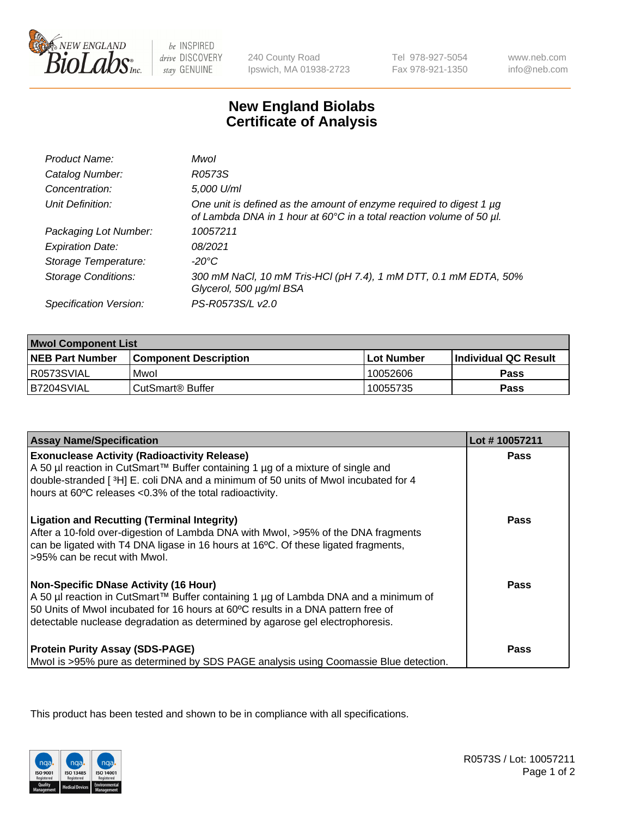

be INSPIRED drive DISCOVERY stay GENUINE

240 County Road Ipswich, MA 01938-2723 Tel 978-927-5054 Fax 978-921-1350

www.neb.com info@neb.com

## **New England Biolabs Certificate of Analysis**

| Product Name:              | Mwol                                                                                                                                             |
|----------------------------|--------------------------------------------------------------------------------------------------------------------------------------------------|
| Catalog Number:            | R0573S                                                                                                                                           |
| Concentration:             | 5,000 U/ml                                                                                                                                       |
| Unit Definition:           | One unit is defined as the amount of enzyme required to digest 1 $\mu$ g<br>of Lambda DNA in 1 hour at 60°C in a total reaction volume of 50 µl. |
| Packaging Lot Number:      | 10057211                                                                                                                                         |
| <b>Expiration Date:</b>    | 08/2021                                                                                                                                          |
| Storage Temperature:       | $-20^{\circ}$ C                                                                                                                                  |
| <b>Storage Conditions:</b> | 300 mM NaCl, 10 mM Tris-HCl (pH 7.4), 1 mM DTT, 0.1 mM EDTA, 50%<br>Glycerol, 500 µg/ml BSA                                                      |
| Specification Version:     | PS-R0573S/L v2.0                                                                                                                                 |

| <b>Mwol Component List</b> |                              |             |                             |  |
|----------------------------|------------------------------|-------------|-----------------------------|--|
| <b>NEB Part Number</b>     | <b>Component Description</b> | ⊺Lot Number | <b>Individual QC Result</b> |  |
| I R0573SVIAL               | Mwol                         | 10052606    | Pass                        |  |
| B7204SVIAL                 | l CutSmart® Buffer           | 10055735    | Pass                        |  |

| <b>Assay Name/Specification</b>                                                                                                                                                                                                                                                                          | Lot #10057211 |
|----------------------------------------------------------------------------------------------------------------------------------------------------------------------------------------------------------------------------------------------------------------------------------------------------------|---------------|
| <b>Exonuclease Activity (Radioactivity Release)</b><br>A 50 µl reaction in CutSmart™ Buffer containing 1 µg of a mixture of single and<br>double-stranded [3H] E. coli DNA and a minimum of 50 units of Mwol incubated for 4<br>hours at 60°C releases <0.3% of the total radioactivity.                 | <b>Pass</b>   |
| <b>Ligation and Recutting (Terminal Integrity)</b><br>After a 10-fold over-digestion of Lambda DNA with Mwol, >95% of the DNA fragments<br>can be ligated with T4 DNA ligase in 16 hours at 16°C. Of these ligated fragments,<br>>95% can be recut with Mwol.                                            | Pass          |
| <b>Non-Specific DNase Activity (16 Hour)</b><br>A 50 µl reaction in CutSmart™ Buffer containing 1 µg of Lambda DNA and a minimum of<br>50 Units of Mwol incubated for 16 hours at 60°C results in a DNA pattern free of<br>detectable nuclease degradation as determined by agarose gel electrophoresis. | Pass          |
| <b>Protein Purity Assay (SDS-PAGE)</b><br>Mwol is >95% pure as determined by SDS PAGE analysis using Coomassie Blue detection.                                                                                                                                                                           | Pass          |

This product has been tested and shown to be in compliance with all specifications.